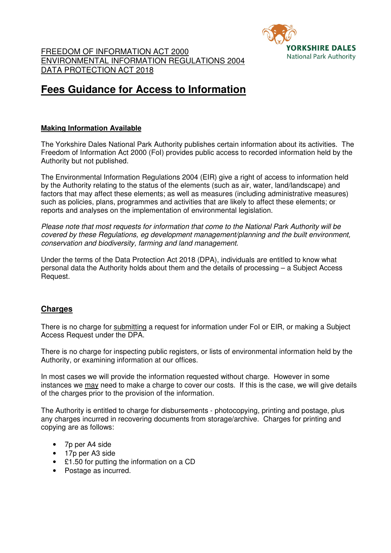

# **Fees Guidance for Access to Information**

### **Making Information Available**

The Yorkshire Dales National Park Authority publishes certain information about its activities. The Freedom of Information Act 2000 (FoI) provides public access to recorded information held by the Authority but not published.

The Environmental Information Regulations 2004 (EIR) give a right of access to information held by the Authority relating to the status of the elements (such as air, water, land/landscape) and factors that may affect these elements; as well as measures (including administrative measures) such as policies, plans, programmes and activities that are likely to affect these elements; or reports and analyses on the implementation of environmental legislation.

Please note that most requests for information that come to the National Park Authority will be covered by these Regulations, eg development management/planning and the built environment, conservation and biodiversity, farming and land management.

Under the terms of the Data Protection Act 2018 (DPA), individuals are entitled to know what personal data the Authority holds about them and the details of processing – a Subject Access Request.

## **Charges**

There is no charge for submitting a request for information under FoI or EIR, or making a Subject Access Request under the DPA.

There is no charge for inspecting public registers, or lists of environmental information held by the Authority, or examining information at our offices.

In most cases we will provide the information requested without charge. However in some instances we may need to make a charge to cover our costs. If this is the case, we will give details of the charges prior to the provision of the information.

The Authority is entitled to charge for disbursements - photocopying, printing and postage, plus any charges incurred in recovering documents from storage/archive. Charges for printing and copying are as follows:

- 7p per A4 side
- 17p per A3 side
- £1.50 for putting the information on a CD
- Postage as incurred.